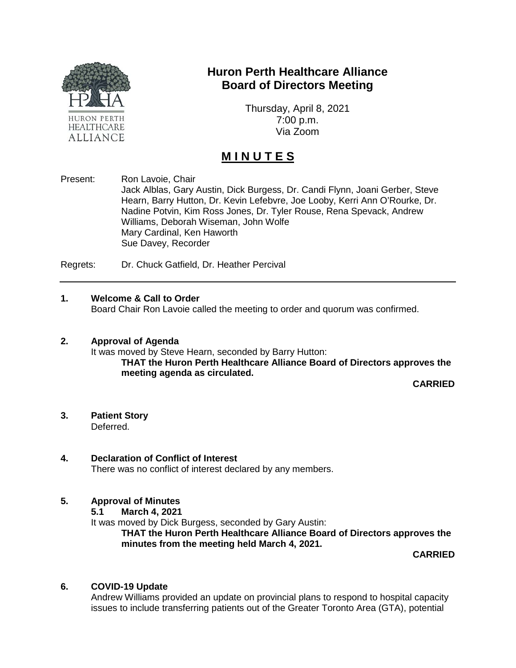

## **Huron Perth Healthcare Alliance Board of Directors Meeting**

Thursday, April 8, 2021 7:00 p.m. Via Zoom

# **M I N U T E S**

Present: Ron Lavoie, Chair Jack Alblas, Gary Austin, Dick Burgess, Dr. Candi Flynn, Joani Gerber, Steve Hearn, Barry Hutton, Dr. Kevin Lefebvre, Joe Looby, Kerri Ann O'Rourke, Dr. Nadine Potvin, Kim Ross Jones, Dr. Tyler Rouse, Rena Spevack, Andrew Williams, Deborah Wiseman, John Wolfe Mary Cardinal, Ken Haworth Sue Davey, Recorder

Regrets: Dr. Chuck Gatfield, Dr. Heather Percival

#### **1. Welcome & Call to Order**

Board Chair Ron Lavoie called the meeting to order and quorum was confirmed.

#### **2. Approval of Agenda**

It was moved by Steve Hearn, seconded by Barry Hutton: **THAT the Huron Perth Healthcare Alliance Board of Directors approves the meeting agenda as circulated.**

**CARRIED**

#### **3. Patient Story** Deferred.

#### **4. Declaration of Conflict of Interest**

There was no conflict of interest declared by any members.

### **5. Approval of Minutes**

**5.1 March 4, 2021**

It was moved by Dick Burgess, seconded by Gary Austin:

**THAT the Huron Perth Healthcare Alliance Board of Directors approves the minutes from the meeting held March 4, 2021.**

**CARRIED**

#### **6. COVID-19 Update**

Andrew Williams provided an update on provincial plans to respond to hospital capacity issues to include transferring patients out of the Greater Toronto Area (GTA), potential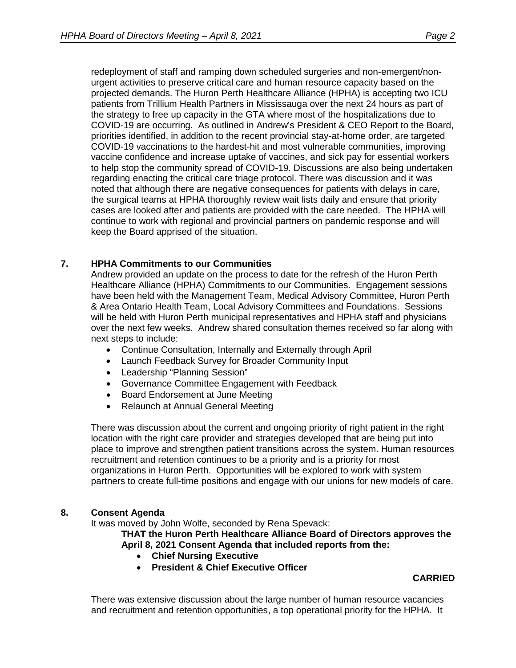redeployment of staff and ramping down scheduled surgeries and non-emergent/nonurgent activities to preserve critical care and human resource capacity based on the projected demands. The Huron Perth Healthcare Alliance (HPHA) is accepting two ICU patients from Trillium Health Partners in Mississauga over the next 24 hours as part of the strategy to free up capacity in the GTA where most of the hospitalizations due to COVID-19 are occurring. As outlined in Andrew's President & CEO Report to the Board, priorities identified, in addition to the recent provincial stay-at-home order, are targeted COVID-19 vaccinations to the hardest-hit and most vulnerable communities, improving vaccine confidence and increase uptake of vaccines, and sick pay for essential workers to help stop the community spread of COVID-19. Discussions are also being undertaken regarding enacting the critical care triage protocol. There was discussion and it was noted that although there are negative consequences for patients with delays in care, the surgical teams at HPHA thoroughly review wait lists daily and ensure that priority cases are looked after and patients are provided with the care needed. The HPHA will continue to work with regional and provincial partners on pandemic response and will keep the Board apprised of the situation.

#### **7. HPHA Commitments to our Communities**

Andrew provided an update on the process to date for the refresh of the Huron Perth Healthcare Alliance (HPHA) Commitments to our Communities. Engagement sessions have been held with the Management Team, Medical Advisory Committee, Huron Perth & Area Ontario Health Team, Local Advisory Committees and Foundations. Sessions will be held with Huron Perth municipal representatives and HPHA staff and physicians over the next few weeks. Andrew shared consultation themes received so far along with next steps to include:

- Continue Consultation, Internally and Externally through April
- Launch Feedback Survey for Broader Community Input
- Leadership "Planning Session"
- Governance Committee Engagement with Feedback
- Board Endorsement at June Meeting
- Relaunch at Annual General Meeting

There was discussion about the current and ongoing priority of right patient in the right location with the right care provider and strategies developed that are being put into place to improve and strengthen patient transitions across the system. Human resources recruitment and retention continues to be a priority and is a priority for most organizations in Huron Perth. Opportunities will be explored to work with system partners to create full-time positions and engage with our unions for new models of care.

#### **8. Consent Agenda**

It was moved by John Wolfe, seconded by Rena Spevack:

**THAT the Huron Perth Healthcare Alliance Board of Directors approves the April 8, 2021 Consent Agenda that included reports from the:**

- **Chief Nursing Executive**
- **President & Chief Executive Officer**

#### **CARRIED**

There was extensive discussion about the large number of human resource vacancies and recruitment and retention opportunities, a top operational priority for the HPHA. It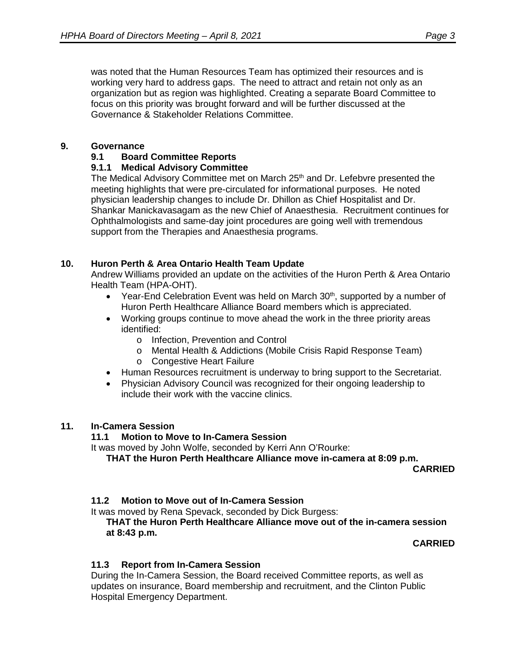was noted that the Human Resources Team has optimized their resources and is working very hard to address gaps. The need to attract and retain not only as an organization but as region was highlighted. Creating a separate Board Committee to focus on this priority was brought forward and will be further discussed at the Governance & Stakeholder Relations Committee.

#### **9. Governance**

#### **9.1 Board Committee Reports**

#### **9.1.1 Medical Advisory Committee**

The Medical Advisory Committee met on March 25<sup>th</sup> and Dr. Lefebvre presented the meeting highlights that were pre-circulated for informational purposes. He noted physician leadership changes to include Dr. Dhillon as Chief Hospitalist and Dr. Shankar Manickavasagam as the new Chief of Anaesthesia. Recruitment continues for Ophthalmologists and same-day joint procedures are going well with tremendous support from the Therapies and Anaesthesia programs.

#### **10. Huron Perth & Area Ontario Health Team Update**

Andrew Williams provided an update on the activities of the Huron Perth & Area Ontario Health Team (HPA-OHT).

- Year-End Celebration Event was held on March  $30<sup>th</sup>$ , supported by a number of Huron Perth Healthcare Alliance Board members which is appreciated.
- Working groups continue to move ahead the work in the three priority areas identified:
	- o Infection, Prevention and Control
	- o Mental Health & Addictions (Mobile Crisis Rapid Response Team)
	- o Congestive Heart Failure
- Human Resources recruitment is underway to bring support to the Secretariat.
- Physician Advisory Council was recognized for their ongoing leadership to include their work with the vaccine clinics.

#### **11. In-Camera Session**

#### **11.1 Motion to Move to In-Camera Session**

It was moved by John Wolfe, seconded by Kerri Ann O'Rourke:

**THAT the Huron Perth Healthcare Alliance move in-camera at 8:09 p.m.**

**CARRIED**

### **11.2 Motion to Move out of In-Camera Session**

It was moved by Rena Spevack, seconded by Dick Burgess:

**THAT the Huron Perth Healthcare Alliance move out of the in-camera session at 8:43 p.m.** 

**CARRIED**

### **11.3 Report from In-Camera Session**

During the In-Camera Session, the Board received Committee reports, as well as updates on insurance, Board membership and recruitment, and the Clinton Public Hospital Emergency Department.